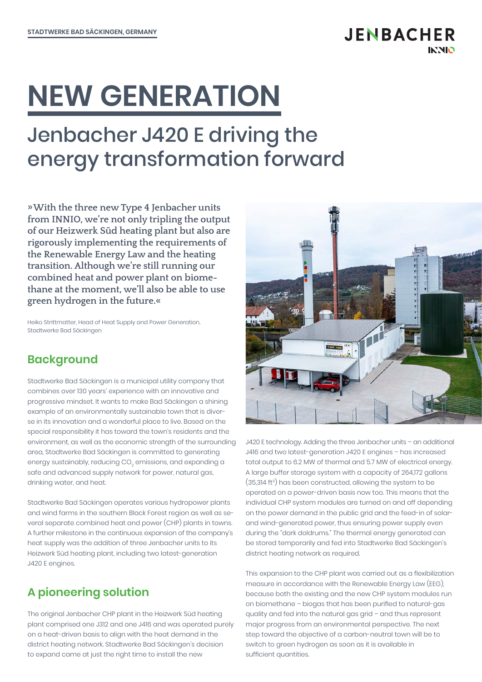# **NEW GENERATION**

## Jenbacher J420 E driving the energy transformation forward

**»With the three new Type 4 Jenbacher units from INNIO, we're not only tripling the output of our Heizwerk Süd heating plant but also are rigorously implementing the requirements of the Renewable Energy Law and the heating transition. Although we're still running our combined heat and power plant on biomethane at the moment, we'll also be able to use green hydrogen in the future.«**

Heiko Strittmatter, Head of Heat Supply and Power Generation, Stadtwerke Bad Säckingen

#### **Background**

Stadtwerke Bad Säckingen is a municipal utility company that combines over 130 years' experience with an innovative and progressive mindset. It wants to make Bad Säckingen a shining example of an environmentally sustainable town that is diverse in its innovation and a wonderful place to live. Based on the special responsibility it has toward the town's residents and the environment, as well as the economic strength of the surrounding area, Stadtwerke Bad Säckingen is committed to generating energy sustainably, reducing CO $_2$  emissions, and expanding a safe and advanced supply network for power, natural gas, drinking water, and heat.

Stadtwerke Bad Säckingen operates various hydropower plants and wind farms in the southern Black Forest region as well as several separate combined heat and power (CHP) plants in towns. A further milestone in the continuous expansion of the company's heat supply was the addition of three Jenbacher units to its Heizwerk Süd heating plant, including two latest-generation J420 E engines.

#### **A pioneering solution**

The original Jenbacher CHP plant in the Heizwerk Süd heating plant comprised one J312 and one J416 and was operated purely on a heat-driven basis to align with the heat demand in the district heating network. Stadtwerke Bad Säckingen's decision to expand came at just the right time to install the new



**JENBACHER** 

**INNIO** 

J420 E technology. Adding the three Jenbacher units – an additional J416 and two latest-generation J420 E engines – has increased total output to 6.2 MW of thermal and 5.7 MW of electrical energy. A large buffer storage system with a capacity of 264,172 gallons  $(35,314 \text{ ft}^3)$  has been constructed, allowing the system to be operated on a power-driven basis now too. This means that the individual CHP system modules are turned on and off depending on the power demand in the public grid and the feed-in of solarand wind-generated power, thus ensuring power supply even during the "dark doldrums." The thermal energy generated can be stored temporarily and fed into Stadtwerke Bad Säckingen's district heating network as required.

This expansion to the CHP plant was carried out as a flexibilization measure in accordance with the Renewable Energy Law (EEG), because both the existing and the new CHP system modules run on biomethane – biogas that has been purified to natural-gas quality and fed into the natural gas grid – and thus represent major progress from an environmental perspective. The next step toward the objective of a carbon-neutral town will be to switch to green hydrogen as soon as it is available in sufficient quantities.